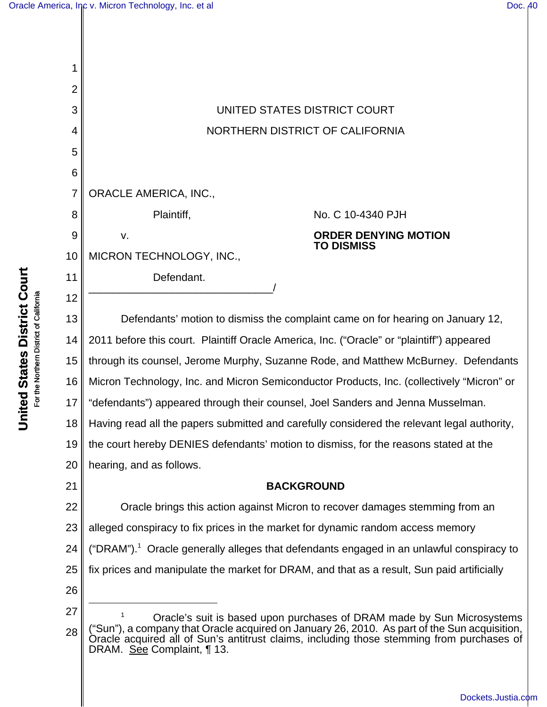| 1              |                                                                                                                                                                                                                      |
|----------------|----------------------------------------------------------------------------------------------------------------------------------------------------------------------------------------------------------------------|
| $\overline{2}$ |                                                                                                                                                                                                                      |
| 3              | UNITED STATES DISTRICT COURT                                                                                                                                                                                         |
| 4              | NORTHERN DISTRICT OF CALIFORNIA                                                                                                                                                                                      |
| 5              |                                                                                                                                                                                                                      |
| 6              |                                                                                                                                                                                                                      |
| $\overline{7}$ | <b>ORACLE AMERICA, INC.,</b>                                                                                                                                                                                         |
| 8              | Plaintiff,<br>No. C 10-4340 PJH                                                                                                                                                                                      |
| $\overline{9}$ | <b>ORDER DENYING MOTION</b><br>v.                                                                                                                                                                                    |
| 10             | <b>TO DISMISS</b><br>MICRON TECHNOLOGY, INC.,                                                                                                                                                                        |
| 11             | Defendant.                                                                                                                                                                                                           |
| 12             |                                                                                                                                                                                                                      |
| 13             | Defendants' motion to dismiss the complaint came on for hearing on January 12,                                                                                                                                       |
| 14             | 2011 before this court. Plaintiff Oracle America, Inc. ("Oracle" or "plaintiff") appeared                                                                                                                            |
| 15             | through its counsel, Jerome Murphy, Suzanne Rode, and Matthew McBurney. Defendants                                                                                                                                   |
| 16             | Micron Technology, Inc. and Micron Semiconductor Products, Inc. (collectively "Micron" or                                                                                                                            |
| 17             | "defendants") appeared through their counsel, Joel Sanders and Jenna Musselman.                                                                                                                                      |
| 18             | Having read all the papers submitted and carefully considered the relevant legal authority,                                                                                                                          |
| 19             | the court hereby DENIES defendants' motion to dismiss, for the reasons stated at the                                                                                                                                 |
| 20             | hearing, and as follows.                                                                                                                                                                                             |
| 21             | <b>BACKGROUND</b>                                                                                                                                                                                                    |
| 22             | Oracle brings this action against Micron to recover damages stemming from an                                                                                                                                         |
| 23             | alleged conspiracy to fix prices in the market for dynamic random access memory                                                                                                                                      |
| 24             | ("DRAM"). <sup>1</sup> Oracle generally alleges that defendants engaged in an unlawful conspiracy to                                                                                                                 |
| 25             | fix prices and manipulate the market for DRAM, and that as a result, Sun paid artificially                                                                                                                           |
| 26             |                                                                                                                                                                                                                      |
| 27             | Oracle's suit is based upon purchases of DRAM made by Sun Microsystems                                                                                                                                               |
| 28             | "Sun"), a company that Oracle acquired on January 26, 2010. As part of the Sun acquisition,<br>Oracle acquired all of Sun's antitrust claims, including those stemming from purchases of<br>DRAM. See Complaint, 13. |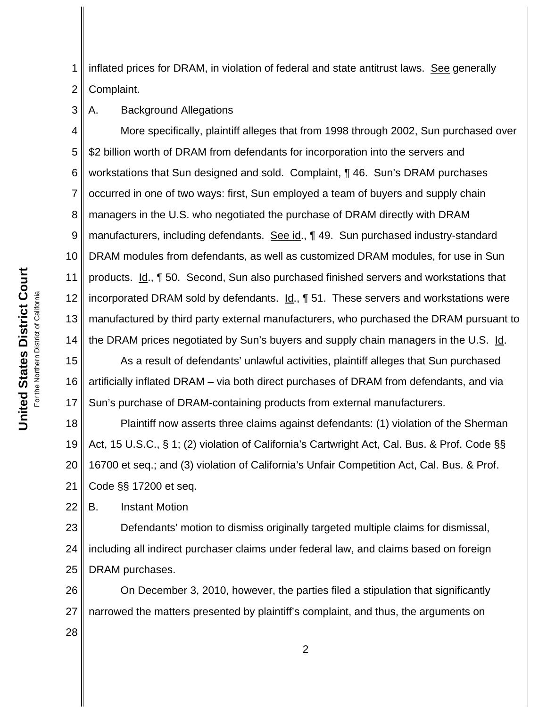**United States District Court United States District Court** For the Northern District of California For the Northern District of California

1 2 inflated prices for DRAM, in violation of federal and state antitrust laws. See generally Complaint.

3 A. Background Allegations

4 5 6 7 8 9 10 11 12 13 14 More specifically, plaintiff alleges that from 1998 through 2002, Sun purchased over \$2 billion worth of DRAM from defendants for incorporation into the servers and workstations that Sun designed and sold. Complaint, ¶ 46. Sun's DRAM purchases occurred in one of two ways: first, Sun employed a team of buyers and supply chain managers in the U.S. who negotiated the purchase of DRAM directly with DRAM manufacturers, including defendants. See id., 149. Sun purchased industry-standard DRAM modules from defendants, as well as customized DRAM modules, for use in Sun products. Id., ¶ 50. Second, Sun also purchased finished servers and workstations that incorporated DRAM sold by defendants.  $Id.$ , 151. These servers and workstations were manufactured by third party external manufacturers, who purchased the DRAM pursuant to the DRAM prices negotiated by Sun's buyers and supply chain managers in the U.S. Id.

15 16 17 As a result of defendants' unlawful activities, plaintiff alleges that Sun purchased artificially inflated DRAM – via both direct purchases of DRAM from defendants, and via Sun's purchase of DRAM-containing products from external manufacturers.

18 19 20 21 Plaintiff now asserts three claims against defendants: (1) violation of the Sherman Act, 15 U.S.C., § 1; (2) violation of California's Cartwright Act, Cal. Bus. & Prof. Code §§ 16700 et seq.; and (3) violation of California's Unfair Competition Act, Cal. Bus. & Prof. Code §§ 17200 et seq.

22 B. Instant Motion

28

23 24 25 Defendants' motion to dismiss originally targeted multiple claims for dismissal, including all indirect purchaser claims under federal law, and claims based on foreign DRAM purchases.

26 27 On December 3, 2010, however, the parties filed a stipulation that significantly narrowed the matters presented by plaintiff's complaint, and thus, the arguments on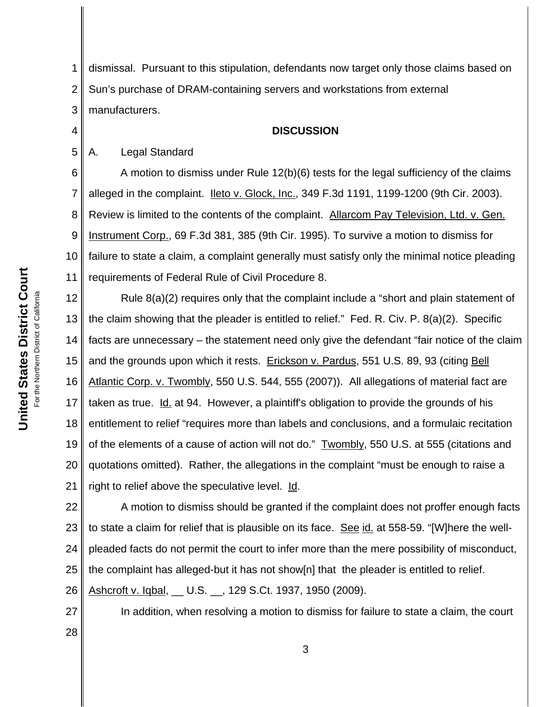1 2 3 dismissal. Pursuant to this stipulation, defendants now target only those claims based on Sun's purchase of DRAM-containing servers and workstations from external manufacturers.

## **DISCUSSION**

## 5 A. Legal Standard

4

6 7 8 9 10 11 A motion to dismiss under Rule 12(b)(6) tests for the legal sufficiency of the claims alleged in the complaint. **Ileto v. Glock, Inc., 349 F.3d 1191, 1199-1200** (9th Cir. 2003). Review is limited to the contents of the complaint. Allarcom Pay Television, Ltd. v. Gen. Instrument Corp., 69 F.3d 381, 385 (9th Cir. 1995). To survive a motion to dismiss for failure to state a claim, a complaint generally must satisfy only the minimal notice pleading requirements of Federal Rule of Civil Procedure 8.

12 13 14 15 16 17 18 19 20 21 Rule 8(a)(2) requires only that the complaint include a "short and plain statement of the claim showing that the pleader is entitled to relief." Fed. R. Civ. P. 8(a)(2). Specific facts are unnecessary – the statement need only give the defendant "fair notice of the claim and the grounds upon which it rests. Erickson v. Pardus, 551 U.S. 89, 93 (citing Bell Atlantic Corp. v. Twombly, 550 U.S. 544, 555 (2007)). All allegations of material fact are taken as true. Id. at 94. However, a plaintiff's obligation to provide the grounds of his entitlement to relief "requires more than labels and conclusions, and a formulaic recitation of the elements of a cause of action will not do." Twombly, 550 U.S. at 555 (citations and quotations omitted). Rather, the allegations in the complaint "must be enough to raise a right to relief above the speculative level. Id.

22 23 24 25 26 A motion to dismiss should be granted if the complaint does not proffer enough facts to state a claim for relief that is plausible on its face. See id. at 558-59. "[W]here the wellpleaded facts do not permit the court to infer more than the mere possibility of misconduct, the complaint has alleged-but it has not show[n] that the pleader is entitled to relief. Ashcroft v. Iqbal, \_\_ U.S. \_\_, 129 S.Ct. 1937, 1950 (2009).

In addition, when resolving a motion to dismiss for failure to state a claim, the court

27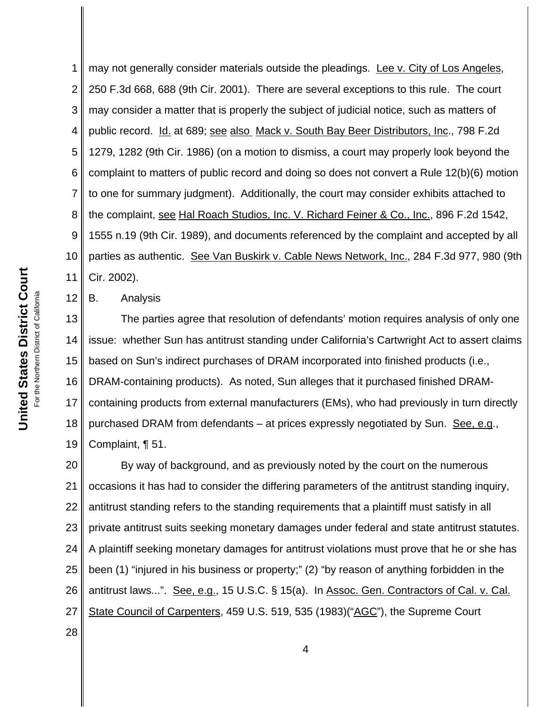1 2 3 4 5 6 7 8 9 10 11 may not generally consider materials outside the pleadings. Lee v. City of Los Angeles, 250 F.3d 668, 688 (9th Cir. 2001). There are several exceptions to this rule. The court may consider a matter that is properly the subject of judicial notice, such as matters of public record. Id. at 689; see also Mack v. South Bay Beer Distributors, Inc., 798 F.2d 1279, 1282 (9th Cir. 1986) (on a motion to dismiss, a court may properly look beyond the complaint to matters of public record and doing so does not convert a Rule 12(b)(6) motion to one for summary judgment). Additionally, the court may consider exhibits attached to the complaint, see Hal Roach Studios, Inc. V. Richard Feiner & Co., Inc., 896 F.2d 1542, 1555 n.19 (9th Cir. 1989), and documents referenced by the complaint and accepted by all parties as authentic. See Van Buskirk v. Cable News Network, Inc., 284 F.3d 977, 980 (9th Cir. 2002).

B. Analysis

13 14 15 16 17 18 19 The parties agree that resolution of defendants' motion requires analysis of only one issue: whether Sun has antitrust standing under California's Cartwright Act to assert claims based on Sun's indirect purchases of DRAM incorporated into finished products (i.e., DRAM-containing products). As noted, Sun alleges that it purchased finished DRAMcontaining products from external manufacturers (EMs), who had previously in turn directly purchased DRAM from defendants – at prices expressly negotiated by Sun. See, e.g., Complaint, ¶ 51.

20 21 22 23 24 25 26 27 By way of background, and as previously noted by the court on the numerous occasions it has had to consider the differing parameters of the antitrust standing inquiry, antitrust standing refers to the standing requirements that a plaintiff must satisfy in all private antitrust suits seeking monetary damages under federal and state antitrust statutes. A plaintiff seeking monetary damages for antitrust violations must prove that he or she has been (1) "injured in his business or property;" (2) "by reason of anything forbidden in the antitrust laws...". See, e.g., 15 U.S.C. § 15(a). In Assoc. Gen. Contractors of Cal. v. Cal. State Council of Carpenters, 459 U.S. 519, 535 (1983)("AGC"), the Supreme Court

For the Northern District of California For the Northern District of California

12

28

**United States District Court**

**United States District Court**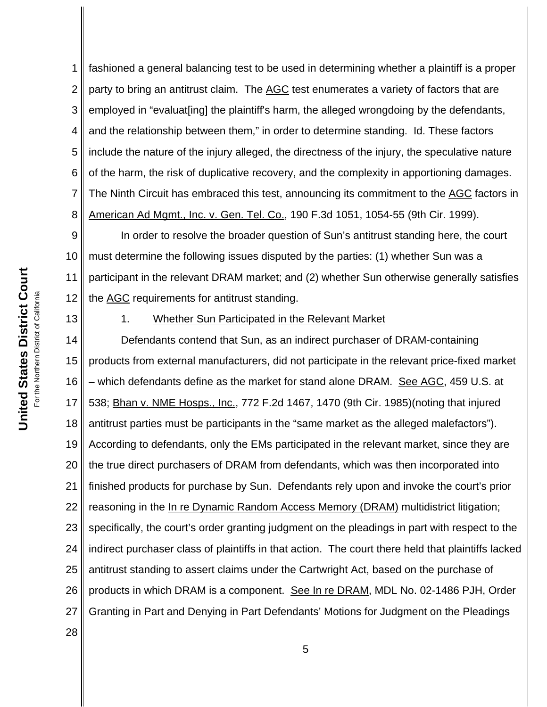1 2 3 4 5 6 7 8 fashioned a general balancing test to be used in determining whether a plaintiff is a proper party to bring an antitrust claim. The AGC test enumerates a variety of factors that are employed in "evaluat[ing] the plaintiff's harm, the alleged wrongdoing by the defendants, and the relationship between them," in order to determine standing. Id. These factors include the nature of the injury alleged, the directness of the injury, the speculative nature of the harm, the risk of duplicative recovery, and the complexity in apportioning damages. The Ninth Circuit has embraced this test, announcing its commitment to the AGC factors in American Ad Mgmt., Inc. v. Gen. Tel. Co., 190 F.3d 1051, 1054-55 (9th Cir. 1999).

9 10 11 12 In order to resolve the broader question of Sun's antitrust standing here, the court must determine the following issues disputed by the parties: (1) whether Sun was a participant in the relevant DRAM market; and (2) whether Sun otherwise generally satisfies the AGC requirements for antitrust standing.

1. Whether Sun Participated in the Relevant Market

14 15 16 17 18 19 20 21 22 23 24 25 26 27 28 Defendants contend that Sun, as an indirect purchaser of DRAM-containing products from external manufacturers, did not participate in the relevant price-fixed market – which defendants define as the market for stand alone DRAM. See AGC, 459 U.S. at 538; Bhan v. NME Hosps., Inc., 772 F.2d 1467, 1470 (9th Cir. 1985)(noting that injured antitrust parties must be participants in the "same market as the alleged malefactors"). According to defendants, only the EMs participated in the relevant market, since they are the true direct purchasers of DRAM from defendants, which was then incorporated into finished products for purchase by Sun. Defendants rely upon and invoke the court's prior reasoning in the In re Dynamic Random Access Memory (DRAM) multidistrict litigation; specifically, the court's order granting judgment on the pleadings in part with respect to the indirect purchaser class of plaintiffs in that action. The court there held that plaintiffs lacked antitrust standing to assert claims under the Cartwright Act, based on the purchase of products in which DRAM is a component. See In re DRAM, MDL No. 02-1486 PJH, Order Granting in Part and Denying in Part Defendants' Motions for Judgment on the Pleadings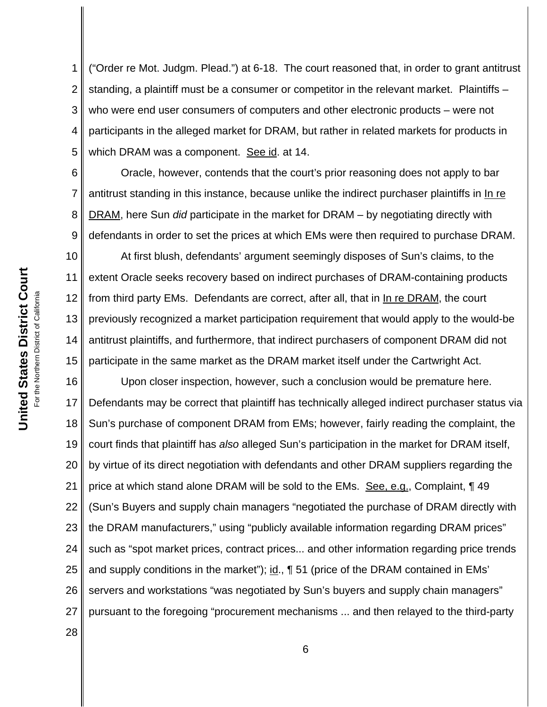1 2 3 4 5 ("Order re Mot. Judgm. Plead.") at 6-18. The court reasoned that, in order to grant antitrust standing, a plaintiff must be a consumer or competitor in the relevant market. Plaintiffs – who were end user consumers of computers and other electronic products – were not participants in the alleged market for DRAM, but rather in related markets for products in which DRAM was a component. See id. at 14.

6 8 9 Oracle, however, contends that the court's prior reasoning does not apply to bar antitrust standing in this instance, because unlike the indirect purchaser plaintiffs in In re DRAM, here Sun *did* participate in the market for DRAM – by negotiating directly with defendants in order to set the prices at which EMs were then required to purchase DRAM.

10 11 12 13 14 15 At first blush, defendants' argument seemingly disposes of Sun's claims, to the extent Oracle seeks recovery based on indirect purchases of DRAM-containing products from third party EMs. Defendants are correct, after all, that in In re DRAM, the court previously recognized a market participation requirement that would apply to the would-be antitrust plaintiffs, and furthermore, that indirect purchasers of component DRAM did not participate in the same market as the DRAM market itself under the Cartwright Act.

16 17 18 19 20 21 22 23 24 25 26 27 Upon closer inspection, however, such a conclusion would be premature here. Defendants may be correct that plaintiff has technically alleged indirect purchaser status via Sun's purchase of component DRAM from EMs; however, fairly reading the complaint, the court finds that plaintiff has *also* alleged Sun's participation in the market for DRAM itself, by virtue of its direct negotiation with defendants and other DRAM suppliers regarding the price at which stand alone DRAM will be sold to the EMs. See, e.g., Complaint, ¶ 49 (Sun's Buyers and supply chain managers "negotiated the purchase of DRAM directly with the DRAM manufacturers," using "publicly available information regarding DRAM prices" such as "spot market prices, contract prices... and other information regarding price trends and supply conditions in the market"); id., ¶ 51 (price of the DRAM contained in EMs' servers and workstations "was negotiated by Sun's buyers and supply chain managers" pursuant to the foregoing "procurement mechanisms ... and then relayed to the third-party

28

United States District Court **United States District Court** For the Northern District of California For the Northern District of California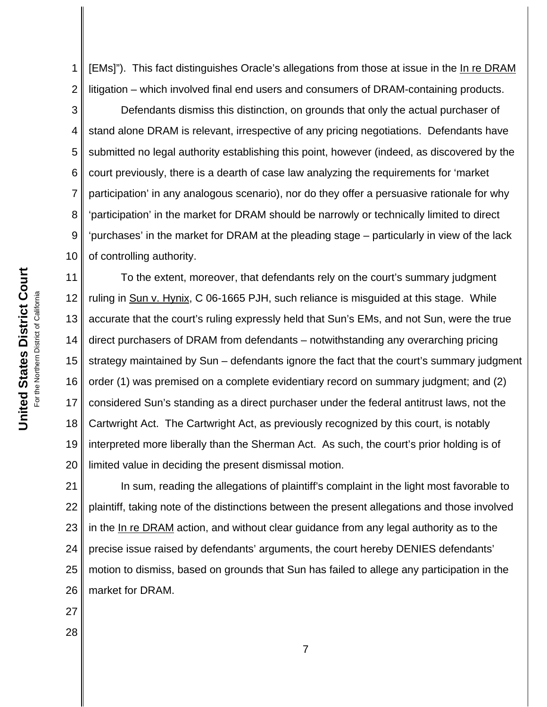1 2 [EMs]"). This fact distinguishes Oracle's allegations from those at issue in the In re DRAM litigation – which involved final end users and consumers of DRAM-containing products.

3 4 5 6 7 8 9 10 Defendants dismiss this distinction, on grounds that only the actual purchaser of stand alone DRAM is relevant, irrespective of any pricing negotiations. Defendants have submitted no legal authority establishing this point, however (indeed, as discovered by the court previously, there is a dearth of case law analyzing the requirements for 'market participation' in any analogous scenario), nor do they offer a persuasive rationale for why 'participation' in the market for DRAM should be narrowly or technically limited to direct 'purchases' in the market for DRAM at the pleading stage – particularly in view of the lack of controlling authority.

11 12 13 14 15 16 17 18 19 20 To the extent, moreover, that defendants rely on the court's summary judgment ruling in Sun v. Hynix, C 06-1665 PJH, such reliance is misguided at this stage. While accurate that the court's ruling expressly held that Sun's EMs, and not Sun, were the true direct purchasers of DRAM from defendants – notwithstanding any overarching pricing strategy maintained by Sun – defendants ignore the fact that the court's summary judgment order (1) was premised on a complete evidentiary record on summary judgment; and (2) considered Sun's standing as a direct purchaser under the federal antitrust laws, not the Cartwright Act. The Cartwright Act, as previously recognized by this court, is notably interpreted more liberally than the Sherman Act. As such, the court's prior holding is of limited value in deciding the present dismissal motion.

21 22 23 24 25 26 In sum, reading the allegations of plaintiff's complaint in the light most favorable to plaintiff, taking note of the distinctions between the present allegations and those involved in the In re DRAM action, and without clear guidance from any legal authority as to the precise issue raised by defendants' arguments, the court hereby DENIES defendants' motion to dismiss, based on grounds that Sun has failed to allege any participation in the market for DRAM.

- 27
- 28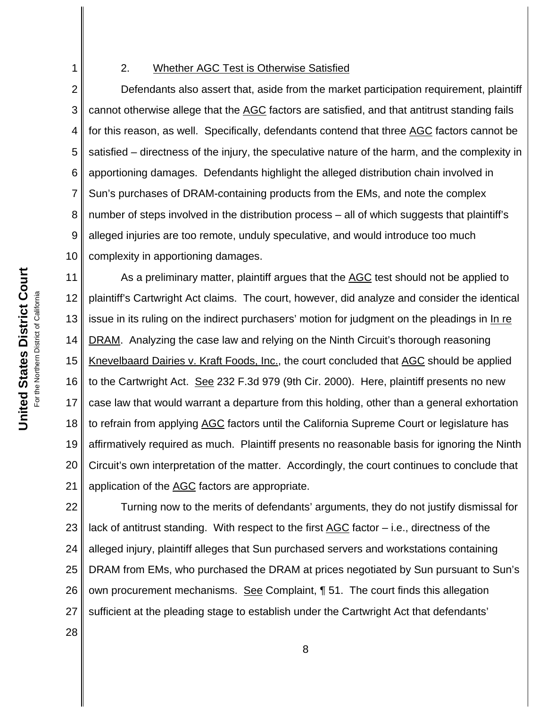## 2. Whether AGC Test is Otherwise Satisfied

2 3 4 5 6 7 8 9 10 Defendants also assert that, aside from the market participation requirement, plaintiff cannot otherwise allege that the AGC factors are satisfied, and that antitrust standing fails for this reason, as well. Specifically, defendants contend that three AGC factors cannot be satisfied – directness of the injury, the speculative nature of the harm, and the complexity in apportioning damages. Defendants highlight the alleged distribution chain involved in Sun's purchases of DRAM-containing products from the EMs, and note the complex number of steps involved in the distribution process – all of which suggests that plaintiff's alleged injuries are too remote, unduly speculative, and would introduce too much complexity in apportioning damages.

11 12 13 14 15 16 17 18 19 20 21 As a preliminary matter, plaintiff argues that the AGC test should not be applied to plaintiff's Cartwright Act claims. The court, however, did analyze and consider the identical issue in its ruling on the indirect purchasers' motion for judgment on the pleadings in In re DRAM. Analyzing the case law and relying on the Ninth Circuit's thorough reasoning Knevelbaard Dairies v. Kraft Foods, Inc., the court concluded that AGC should be applied to the Cartwright Act. See 232 F.3d 979 (9th Cir. 2000). Here, plaintiff presents no new case law that would warrant a departure from this holding, other than a general exhortation to refrain from applying AGC factors until the California Supreme Court or legislature has affirmatively required as much. Plaintiff presents no reasonable basis for ignoring the Ninth Circuit's own interpretation of the matter. Accordingly, the court continues to conclude that application of the AGC factors are appropriate.

22 23 24 25 26 27 Turning now to the merits of defendants' arguments, they do not justify dismissal for lack of antitrust standing. With respect to the first  $AGC$  factor  $-$  i.e., directness of the alleged injury, plaintiff alleges that Sun purchased servers and workstations containing DRAM from EMs, who purchased the DRAM at prices negotiated by Sun pursuant to Sun's own procurement mechanisms. See Complaint, ¶ 51. The court finds this allegation sufficient at the pleading stage to establish under the Cartwright Act that defendants'

28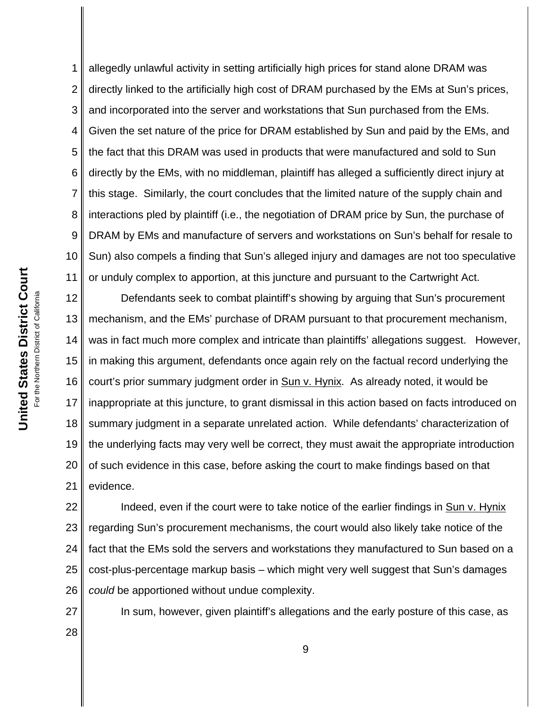1 2 3 4 5 6 7 8 9 10 11 allegedly unlawful activity in setting artificially high prices for stand alone DRAM was directly linked to the artificially high cost of DRAM purchased by the EMs at Sun's prices, and incorporated into the server and workstations that Sun purchased from the EMs. Given the set nature of the price for DRAM established by Sun and paid by the EMs, and the fact that this DRAM was used in products that were manufactured and sold to Sun directly by the EMs, with no middleman, plaintiff has alleged a sufficiently direct injury at this stage. Similarly, the court concludes that the limited nature of the supply chain and interactions pled by plaintiff (i.e., the negotiation of DRAM price by Sun, the purchase of DRAM by EMs and manufacture of servers and workstations on Sun's behalf for resale to Sun) also compels a finding that Sun's alleged injury and damages are not too speculative or unduly complex to apportion, at this juncture and pursuant to the Cartwright Act.

12 13 14 15 16 17 18 19 20 21 Defendants seek to combat plaintiff's showing by arguing that Sun's procurement mechanism, and the EMs' purchase of DRAM pursuant to that procurement mechanism, was in fact much more complex and intricate than plaintiffs' allegations suggest. However, in making this argument, defendants once again rely on the factual record underlying the court's prior summary judgment order in Sun v. Hynix. As already noted, it would be inappropriate at this juncture, to grant dismissal in this action based on facts introduced on summary judgment in a separate unrelated action. While defendants' characterization of the underlying facts may very well be correct, they must await the appropriate introduction of such evidence in this case, before asking the court to make findings based on that evidence.

22 23 24 25 26 Indeed, even if the court were to take notice of the earlier findings in Sun v. Hynix regarding Sun's procurement mechanisms, the court would also likely take notice of the fact that the EMs sold the servers and workstations they manufactured to Sun based on a cost-plus-percentage markup basis – which might very well suggest that Sun's damages *could* be apportioned without undue complexity.

27 28 In sum, however, given plaintiff's allegations and the early posture of this case, as